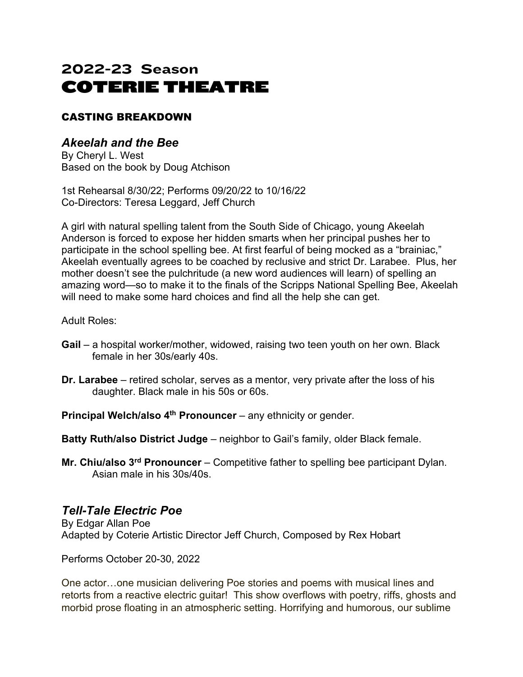# 2022-23 Season COTERIE THEATRE

#### CASTING BREAKDOWN

## *Akeelah and the Bee*

By Cheryl L. West Based on the book by Doug Atchison

1st Rehearsal 8/30/22; Performs 09/20/22 to 10/16/22 Co-Directors: Teresa Leggard, Jeff Church

A girl with natural spelling talent from the South Side of Chicago, young Akeelah Anderson is forced to expose her hidden smarts when her principal pushes her to participate in the school spelling bee. At first fearful of being mocked as a "brainiac," Akeelah eventually agrees to be coached by reclusive and strict Dr. Larabee. Plus, her mother doesn't see the pulchritude (a new word audiences will learn) of spelling an amazing word—so to make it to the finals of the Scripps National Spelling Bee, Akeelah will need to make some hard choices and find all the help she can get.

Adult Roles:

- **Gail** a hospital worker/mother, widowed, raising two teen youth on her own. Black female in her 30s/early 40s.
- **Dr. Larabee** retired scholar, serves as a mentor, very private after the loss of his daughter. Black male in his 50s or 60s.

**Principal Welch/also 4<sup>th</sup> Pronouncer** – any ethnicity or gender.

- **Batty Ruth/also District Judge** neighbor to Gail's family, older Black female.
- **Mr. Chiu/also 3rd Pronouncer** Competitive father to spelling bee participant Dylan. Asian male in his 30s/40s.

#### *Tell-Tale Electric Poe*

By Edgar Allan Poe Adapted by Coterie Artistic Director Jeff Church, Composed by Rex Hobart

Performs October 20-30, 2022

One actor…one musician delivering Poe stories and poems with musical lines and retorts from a reactive electric guitar! This show overflows with poetry, riffs, ghosts and morbid prose floating in an atmospheric setting. Horrifying and humorous, our sublime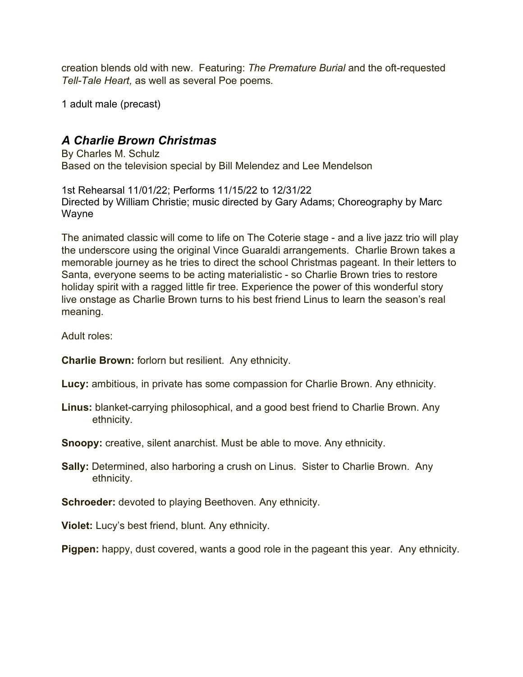creation blends old with new. Featuring: *The Premature Burial* and the oft-requested *Tell-Tale Heart,* as well as several Poe poems*.*

1 adult male (precast)

#### *A Charlie Brown Christmas*

By Charles M. Schulz Based on the television special by Bill Melendez and Lee Mendelson

1st Rehearsal 11/01/22; Performs 11/15/22 to 12/31/22 Directed by William Christie; music directed by Gary Adams; Choreography by Marc Wayne

The animated classic will come to life on The Coterie stage - and a live jazz trio will play the underscore using the original Vince Guaraldi arrangements. Charlie Brown takes a memorable journey as he tries to direct the school Christmas pageant. In their letters to Santa, everyone seems to be acting materialistic - so Charlie Brown tries to restore holiday spirit with a ragged little fir tree. Experience the power of this wonderful story live onstage as Charlie Brown turns to his best friend Linus to learn the season's real meaning.

Adult roles:

**Charlie Brown:** forlorn but resilient. Any ethnicity.

**Lucy:** ambitious, in private has some compassion for Charlie Brown. Any ethnicity.

**Linus:** blanket-carrying philosophical, and a good best friend to Charlie Brown. Any ethnicity.

**Snoopy:** creative, silent anarchist. Must be able to move. Any ethnicity.

**Sally:** Determined, also harboring a crush on Linus. Sister to Charlie Brown. Any ethnicity.

**Schroeder:** devoted to playing Beethoven. Any ethnicity.

**Violet:** Lucy's best friend, blunt. Any ethnicity.

**Pigpen:** happy, dust covered, wants a good role in the pageant this year. Any ethnicity.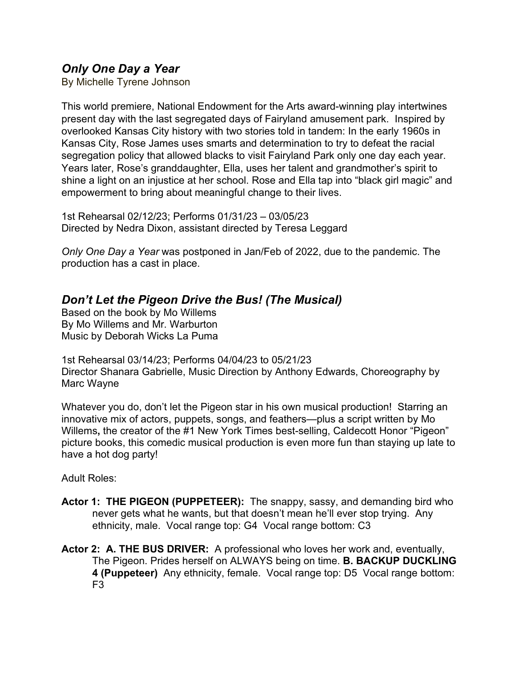#### *Only One Day a Year*

By Michelle Tyrene Johnson

This world premiere, National Endowment for the Arts award-winning play intertwines present day with the last segregated days of Fairyland amusement park. Inspired by overlooked Kansas City history with two stories told in tandem: In the early 1960s in Kansas City, Rose James uses smarts and determination to try to defeat the racial segregation policy that allowed blacks to visit Fairyland Park only one day each year. Years later, Rose's granddaughter, Ella, uses her talent and grandmother's spirit to shine a light on an injustice at her school. Rose and Ella tap into "black girl magic" and empowerment to bring about meaningful change to their lives.

1st Rehearsal 02/12/23; Performs 01/31/23 – 03/05/23 Directed by Nedra Dixon, assistant directed by Teresa Leggard

*Only One Day a Year* was postponed in Jan/Feb of 2022, due to the pandemic. The production has a cast in place.

# *Don't Let the Pigeon Drive the Bus! (The Musical)*

Based on the book by Mo Willems By Mo Willems and Mr. Warburton Music by Deborah Wicks La Puma

1st Rehearsal 03/14/23; Performs 04/04/23 to 05/21/23 Director Shanara Gabrielle, Music Direction by Anthony Edwards, Choreography by Marc Wayne

Whatever you do, don't let the Pigeon star in his own musical production! Starring an innovative mix of actors, puppets, songs, and feathers—plus a script written by Mo Willems**,** the creator of the #1 New York Times best-selling, Caldecott Honor "Pigeon" picture books, this comedic musical production is even more fun than staying up late to have a hot dog party!

Adult Roles:

- **Actor 1: THE PIGEON (PUPPETEER):** The snappy, sassy, and demanding bird who never gets what he wants, but that doesn't mean he'll ever stop trying. Any ethnicity, male. Vocal range top: G4 Vocal range bottom: C3
- **Actor 2: A. THE BUS DRIVER:** A professional who loves her work and, eventually, The Pigeon. Prides herself on ALWAYS being on time. **B. BACKUP DUCKLING 4 (Puppeteer)** Any ethnicity, female. Vocal range top: D5 Vocal range bottom:  $F3$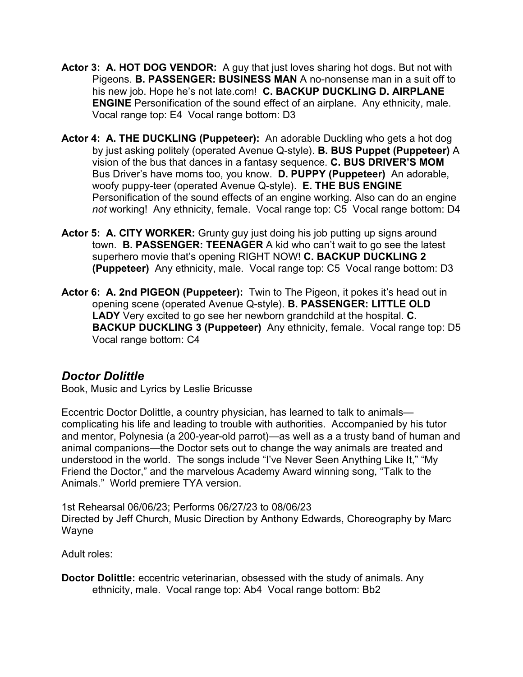- **Actor 3: A. HOT DOG VENDOR:** A guy that just loves sharing hot dogs. But not with Pigeons. **B. PASSENGER: BUSINESS MAN** A no-nonsense man in a suit off to his new job. Hope he's not late.com! **C. BACKUP DUCKLING D. AIRPLANE ENGINE** Personification of the sound effect of an airplane. Any ethnicity, male. Vocal range top: E4 Vocal range bottom: D3
- **Actor 4: A. THE DUCKLING (Puppeteer):** An adorable Duckling who gets a hot dog by just asking politely (operated Avenue Q-style). **B. BUS Puppet (Puppeteer)** A vision of the bus that dances in a fantasy sequence. **C. BUS DRIVER'S MOM**  Bus Driver's have moms too, you know. **D. PUPPY (Puppeteer)** An adorable, woofy puppy-teer (operated Avenue Q-style). **E. THE BUS ENGINE**  Personification of the sound effects of an engine working. Also can do an engine *not* working! Any ethnicity, female. Vocal range top: C5 Vocal range bottom: D4
- **Actor 5: A. CITY WORKER:** Grunty guy just doing his job putting up signs around town. **B. PASSENGER: TEENAGER** A kid who can't wait to go see the latest superhero movie that's opening RIGHT NOW! **C. BACKUP DUCKLING 2 (Puppeteer)** Any ethnicity, male. Vocal range top: C5 Vocal range bottom: D3
- **Actor 6: A. 2nd PIGEON (Puppeteer):** Twin to The Pigeon, it pokes it's head out in opening scene (operated Avenue Q-style). **B. PASSENGER: LITTLE OLD LADY** Very excited to go see her newborn grandchild at the hospital. **C. BACKUP DUCKLING 3 (Puppeteer)** Any ethnicity, female. Vocal range top: D5 Vocal range bottom: C4

### *Doctor Dolittle*

Book, Music and Lyrics by Leslie Bricusse

Eccentric Doctor Dolittle, a country physician, has learned to talk to animals complicating his life and leading to trouble with authorities. Accompanied by his tutor and mentor, Polynesia (a 200-year-old parrot)—as well as a a trusty band of human and animal companions—the Doctor sets out to change the way animals are treated and understood in the world. The songs include "I've Never Seen Anything Like It," "My Friend the Doctor," and the marvelous Academy Award winning song, "Talk to the Animals." World premiere TYA version.

1st Rehearsal 06/06/23; Performs 06/27/23 to 08/06/23 Directed by Jeff Church, Music Direction by Anthony Edwards, Choreography by Marc Wayne

Adult roles:

**Doctor Dolittle:** eccentric veterinarian, obsessed with the study of animals. Any ethnicity, male. Vocal range top: Ab4 Vocal range bottom: Bb2